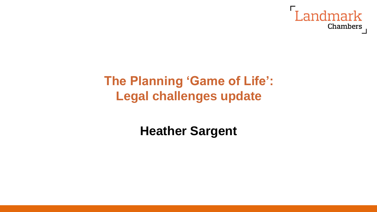

# **The Planning 'Game of Life': Legal challenges update**

**Heather Sargent**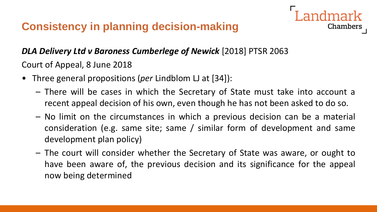

Court of Appeal, 8 June 2018

- Three general propositions (*per* Lindblom LJ at [34]):
	- There will be cases in which the Secretary of State must take into account a recent appeal decision of his own, even though he has not been asked to do so.

- No limit on the circumstances in which a previous decision can be a material consideration (e.g. same site; same / similar form of development and same development plan policy)
- The court will consider whether the Secretary of State was aware, or ought to have been aware of, the previous decision and its significance for the appeal now being determined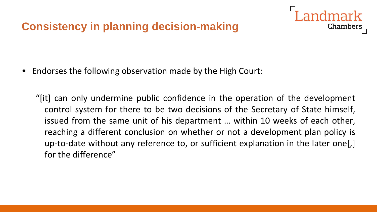• Endorses the following observation made by the High Court:

"[it] can only undermine public confidence in the operation of the development control system for there to be two decisions of the Secretary of State himself, issued from the same unit of his department … within 10 weeks of each other, reaching a different conclusion on whether or not a development plan policy is up-to-date without any reference to, or sufficient explanation in the later one[,] for the difference"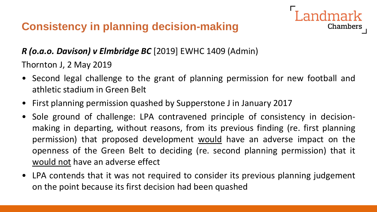

Thornton J, 2 May 2019

• Second legal challenge to the grant of planning permission for new football and athletic stadium in Green Belt

- First planning permission quashed by Supperstone J in January 2017
- Sole ground of challenge: LPA contravened principle of consistency in decisionmaking in departing, without reasons, from its previous finding (re. first planning permission) that proposed development would have an adverse impact on the openness of the Green Belt to deciding (re. second planning permission) that it would not have an adverse effect
- LPA contends that it was not required to consider its previous planning judgement on the point because its first decision had been quashed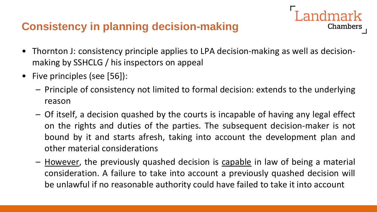• Thornton J: consistency principle applies to LPA decision-making as well as decisionmaking by SSHCLG / his inspectors on appeal

- Five principles (see [56]):
	- Principle of consistency not limited to formal decision: extends to the underlying reason
	- Of itself, a decision quashed by the courts is incapable of having any legal effect on the rights and duties of the parties. The subsequent decision-maker is not bound by it and starts afresh, taking into account the development plan and other material considerations
	- However, the previously quashed decision is capable in law of being a material consideration. A failure to take into account a previously quashed decision will be unlawful if no reasonable authority could have failed to take it into account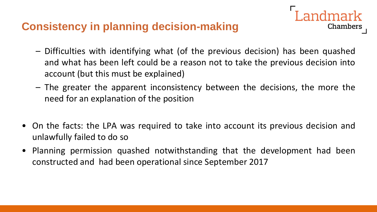– Difficulties with identifying what (of the previous decision) has been quashed and what has been left could be a reason not to take the previous decision into account (but this must be explained)

ndmark

- The greater the apparent inconsistency between the decisions, the more the need for an explanation of the position
- On the facts: the LPA was required to take into account its previous decision and unlawfully failed to do so
- Planning permission quashed notwithstanding that the development had been constructed and had been operational since September 2017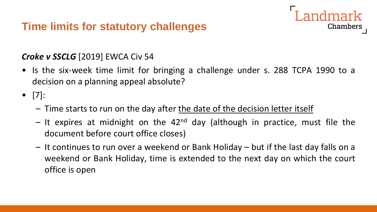### **Time limits for statutory challenges**

#### *Croke v SSCLG* [2019] EWCA Civ 54

• Is the six-week time limit for bringing a challenge under s. 288 TCPA 1990 to a decision on a planning appeal absolute?

- [7]:
	- Time starts to run on the day after the date of the decision letter itself
	- It expires at midnight on the  $42<sup>nd</sup>$  day (although in practice, must file the document before court office closes)
	- It continues to run over a weekend or Bank Holiday but if the last day falls on a weekend or Bank Holiday, time is extended to the next day on which the court office is open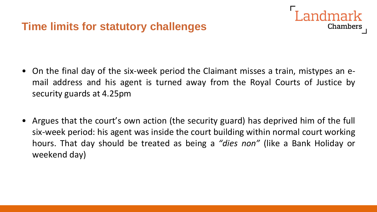

- On the final day of the six-week period the Claimant misses a train, mistypes an email address and his agent is turned away from the Royal Courts of Justice by security guards at 4.25pm
- Argues that the court's own action (the security guard) has deprived him of the full six-week period: his agent was inside the court building within normal court working hours. That day should be treated as being a *"dies non"* (like a Bank Holiday or weekend day)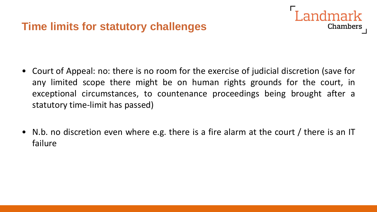

- Court of Appeal: no: there is no room for the exercise of judicial discretion (save for any limited scope there might be on human rights grounds for the court, in exceptional circumstances, to countenance proceedings being brought after a statutory time-limit has passed)
- N.b. no discretion even where e.g. there is a fire alarm at the court / there is an IT failure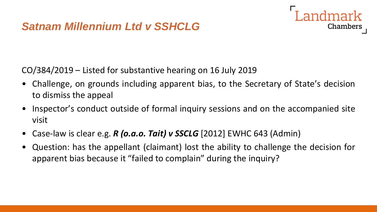## *Satnam Millennium Ltd v SSHCLG*



CO/384/2019 – Listed for substantive hearing on 16 July 2019

- Challenge, on grounds including apparent bias, to the Secretary of State's decision to dismiss the appeal
- Inspector's conduct outside of formal inquiry sessions and on the accompanied site visit
- Case-law is clear e.g. *R (o.a.o. Tait) v SSCLG* [2012] EWHC 643 (Admin)
- Question: has the appellant (claimant) lost the ability to challenge the decision for apparent bias because it "failed to complain" during the inquiry?